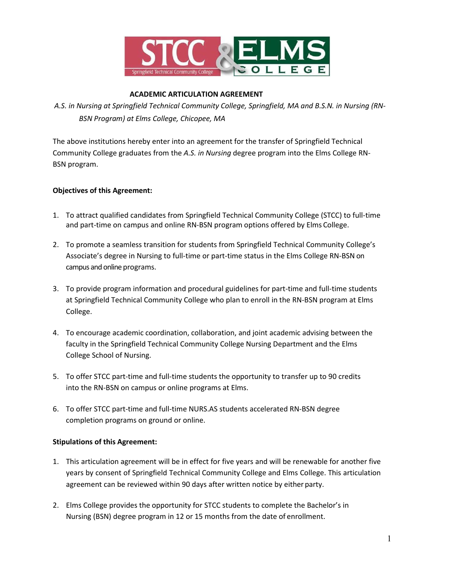

# **ACADEMIC ARTICULATION AGREEMENT**

*A.S. in Nursing at Springfield Technical Community College, Springfield, MA and B.S.N. in Nursing (RN-BSN Program) at Elms College, Chicopee, MA*

The above institutions hereby enter into an agreement for the transfer of Springfield Technical Community College graduates from the *A.S. in Nursing* degree program into the Elms College RN-BSN program.

## **Objectives of this Agreement:**

- 1. To attract qualified candidates from Springfield Technical Community College (STCC) to full-time and part-time on campus and online RN-BSN program options offered by Elms College.
- 2. To promote a seamless transition for students from Springfield Technical Community College's Associate's degree in Nursing to full-time or part-time status in the Elms College RN-BSN on campus and online programs.
- 3. To provide program information and procedural guidelines for part-time and full-time students at Springfield Technical Community College who plan to enroll in the RN-BSN program at Elms College.
- 4. To encourage academic coordination, collaboration, and joint academic advising between the faculty in the Springfield Technical Community College Nursing Department and the Elms College School of Nursing.
- 5. To offer STCC part-time and full-time students the opportunity to transfer up to 90 credits into the RN-BSN on campus or online programs at Elms.
- 6. To offer STCC part-time and full-time NURS.AS students accelerated RN-BSN degree completion programs on ground or online.

## **Stipulations of this Agreement:**

- 1. This articulation agreement will be in effect for five years and will be renewable for another five years by consent of Springfield Technical Community College and Elms College. This articulation agreement can be reviewed within 90 days after written notice by either party.
- 2. Elms College provides the opportunity for STCC students to complete the Bachelor's in Nursing (BSN) degree program in 12 or 15 months from the date of enrollment.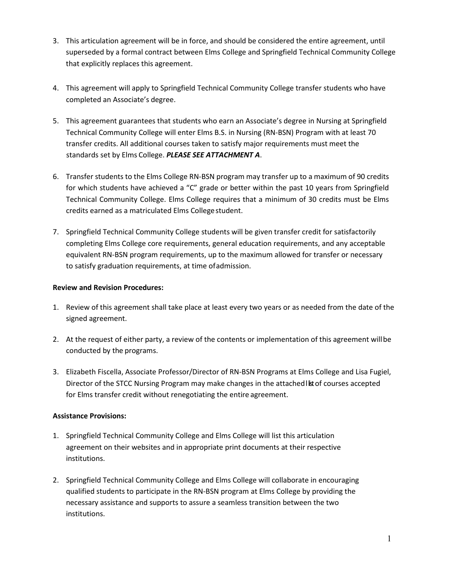- 3. This articulation agreement will be in force, and should be considered the entire agreement, until superseded by a formal contract between Elms College and Springfield Technical Community College that explicitly replaces this agreement.
- 4. This agreement will apply to Springfield Technical Community College transfer students who have completed an Associate's degree.
- 5. This agreement guarantees that students who earn an Associate's degree in Nursing at Springfield Technical Community College will enter Elms B.S. in Nursing (RN-BSN) Program with at least 70 transfer credits. All additional courses taken to satisfy major requirements must meet the standards set by Elms College. *PLEASE SEE ATTACHMENT A*.
- 6. Transfer students to the Elms College RN-BSN program may transfer up to a maximum of 90 credits for which students have achieved a "C" grade or better within the past 10 years from Springfield Technical Community College. Elms College requires that a minimum of 30 credits must be Elms credits earned as a matriculated Elms Collegestudent.
- 7. Springfield Technical Community College students will be given transfer credit for satisfactorily completing Elms College core requirements, general education requirements, and any acceptable equivalent RN-BSN program requirements, up to the maximum allowed for transfer or necessary to satisfy graduation requirements, at time ofadmission.

## **Review and Revision Procedures:**

- 1. Review of this agreement shall take place at least every two years or as needed from the date of the signed agreement.
- 2. At the request of either party, a review of the contents or implementation of this agreement willbe conducted by the programs.
- 3. Elizabeth Fiscella, Associate Professor/Director of RN-BSN Programs at Elms College and Lisa Fugiel, Director of the STCC Nursing Program may make changes in the attached list of courses accepted for Elms transfer credit without renegotiating the entire agreement.

## **Assistance Provisions:**

- 1. Springfield Technical Community College and Elms College will list this articulation agreement on their websites and in appropriate print documents at their respective institutions.
- 2. Springfield Technical Community College and Elms College will collaborate in encouraging qualified students to participate in the RN-BSN program at Elms College by providing the necessary assistance and supports to assure a seamless transition between the two institutions.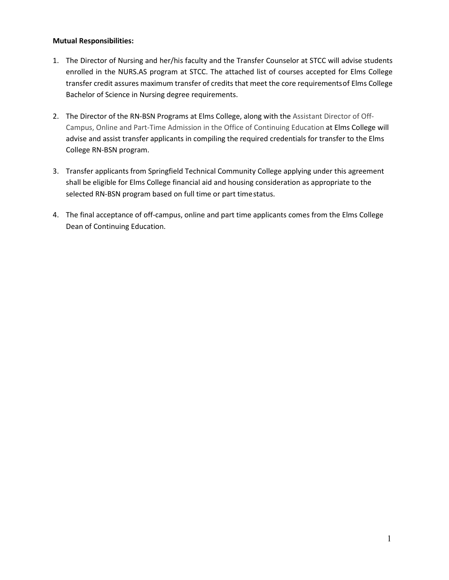## **Mutual Responsibilities:**

- 1. The Director of Nursing and her/his faculty and the Transfer Counselor at STCC will advise students enrolled in the NURS.AS program at STCC. The attached list of courses accepted for Elms College transfer credit assures maximum transfer of credits that meet the core requirementsof Elms College Bachelor of Science in Nursing degree requirements.
- 2. The Director of the RN-BSN Programs at Elms College, along with the Assistant Director of Off-Campus, Online and Part-Time Admission in the Office of Continuing Education at Elms College will advise and assist transfer applicants in compiling the required credentials for transfer to the Elms College RN-BSN program.
- 3. Transfer applicants from Springfield Technical Community College applying under this agreement shall be eligible for Elms College financial aid and housing consideration as appropriate to the selected RN-BSN program based on full time or part timestatus.
- 4. The final acceptance of off-campus, online and part time applicants comes from the Elms College Dean of Continuing Education.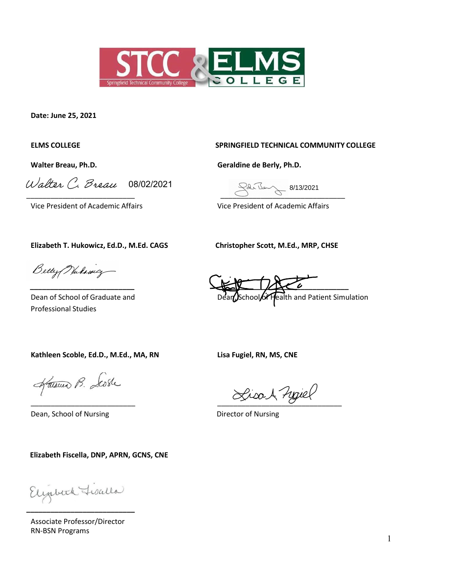

**Date: June 25, 2021**

Walter C. Breau 08/02/2021 Railey 8/13/2021

#### **ELMS COLLEGE SPRINGFIELD TECHNICAL COMMUNITY COLLEGE**

**Walter Breau, Ph.D. Geraldine de Berly, Ph.D.**

 $\overline{\phantom{a}}$  ,  $\overline{\phantom{a}}$  ,  $\overline{\phantom{a}}$  ,  $\overline{\phantom{a}}$  ,  $\overline{\phantom{a}}$  ,  $\overline{\phantom{a}}$  ,  $\overline{\phantom{a}}$  ,  $\overline{\phantom{a}}$  ,  $\overline{\phantom{a}}$  ,  $\overline{\phantom{a}}$  ,  $\overline{\phantom{a}}$  ,  $\overline{\phantom{a}}$  ,  $\overline{\phantom{a}}$  ,  $\overline{\phantom{a}}$  ,  $\overline{\phantom{a}}$  ,  $\overline{\phantom{a}}$ 

Vice President of Academic Affairs Vice President of Academic Affairs

**Elizabeth T. Hukowicz, Ed.D., M.Ed. CAGS Christopher Scott, M.Ed., MRP, CHSE**

Betty Nulsing

Professional Studies

 $\frac{1}{2}$ Dean of School of Graduate and Dean School of Health and Patient Simulation

**Kathleen Scoble, Ed.D., M.Ed., MA, RN Lisa Fugiel, RN, MS, CNE**

Harmon B. Loste

Dean, School of Nursing Director of Nursing

 **Elizabeth Fiscella, DNP, APRN, GCNS, CNE**

Elizabeth Lisalla **\_\_\_\_\_\_\_\_\_\_\_\_\_\_\_\_\_\_\_\_\_\_\_\_\_\_\_**

Associate Professor/Director RN-BSN Programs

Lisa 1 novel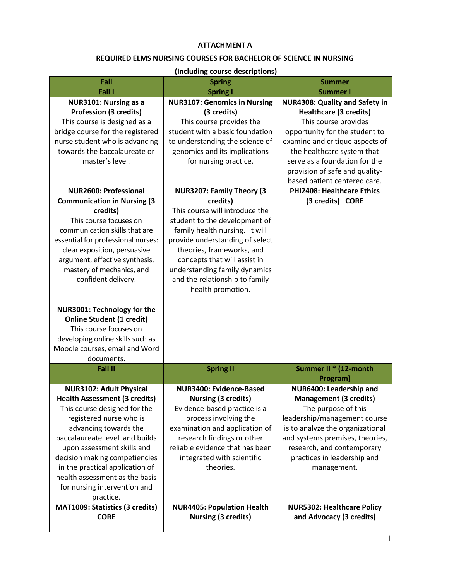## **ATTACHMENT A**

# **REQUIRED ELMS NURSING COURSES FOR BACHELOR OF SCIENCE IN NURSING**

## **(Including course descriptions)**

| Fall                                                             | <b>Spring</b>                                                   | <b>Summer</b>                                                          |
|------------------------------------------------------------------|-----------------------------------------------------------------|------------------------------------------------------------------------|
| Fall I                                                           | <b>Spring I</b>                                                 | <b>Summer I</b>                                                        |
| NUR3101: Nursing as a<br><b>Profession (3 credits)</b>           | <b>NUR3107: Genomics in Nursing</b><br>(3 credits)              | <b>NUR4308: Quality and Safety in</b><br><b>Healthcare (3 credits)</b> |
| This course is designed as a                                     | This course provides the                                        | This course provides                                                   |
| bridge course for the registered                                 | student with a basic foundation                                 | opportunity for the student to                                         |
| nurse student who is advancing                                   | to understanding the science of                                 | examine and critique aspects of                                        |
| towards the baccalaureate or                                     | genomics and its implications                                   | the healthcare system that                                             |
| master's level.                                                  | for nursing practice.                                           | serve as a foundation for the                                          |
|                                                                  |                                                                 | provision of safe and quality-<br>based patient centered care.         |
| <b>NUR2600: Professional</b>                                     | <b>NUR3207: Family Theory (3)</b>                               | PHI2408: Healthcare Ethics                                             |
| <b>Communication in Nursing (3</b>                               | credits)                                                        | (3 credits) CORE                                                       |
| credits)                                                         | This course will introduce the                                  |                                                                        |
| This course focuses on                                           | student to the development of                                   |                                                                        |
| communication skills that are                                    | family health nursing. It will                                  |                                                                        |
| essential for professional nurses:                               | provide understanding of select                                 |                                                                        |
| clear exposition, persuasive                                     | theories, frameworks, and                                       |                                                                        |
| argument, effective synthesis,                                   | concepts that will assist in                                    |                                                                        |
| mastery of mechanics, and<br>confident delivery.                 | understanding family dynamics<br>and the relationship to family |                                                                        |
|                                                                  | health promotion.                                               |                                                                        |
|                                                                  |                                                                 |                                                                        |
| NUR3001: Technology for the                                      |                                                                 |                                                                        |
| <b>Online Student (1 credit)</b>                                 |                                                                 |                                                                        |
| This course focuses on                                           |                                                                 |                                                                        |
| developing online skills such as                                 |                                                                 |                                                                        |
| Moodle courses, email and Word<br>documents.                     |                                                                 |                                                                        |
| Fall II                                                          | <b>Spring II</b>                                                | Summer II * (12-month                                                  |
|                                                                  |                                                                 | Program)                                                               |
| <b>NUR3102: Adult Physical</b>                                   | <b>NUR3400: Evidence-Based</b>                                  | NUR6400: Leadership and                                                |
| <b>Health Assessment (3 credits)</b>                             | <b>Nursing (3 credits)</b>                                      | <b>Management (3 credits)</b>                                          |
| This course designed for the                                     | Evidence-based practice is a                                    | The purpose of this                                                    |
| registered nurse who is                                          | process involving the                                           | leadership/management course                                           |
| advancing towards the                                            | examination and application of                                  | is to analyze the organizational                                       |
| baccalaureate level and builds                                   | research findings or other<br>reliable evidence that has been   | and systems premises, theories,                                        |
| upon assessment skills and                                       |                                                                 | research, and contemporary                                             |
| decision making competiencies<br>in the practical application of | integrated with scientific<br>theories.                         | practices in leadership and<br>management.                             |
| health assessment as the basis                                   |                                                                 |                                                                        |
| for nursing intervention and                                     |                                                                 |                                                                        |
| practice.                                                        |                                                                 |                                                                        |
| <b>MAT1009: Statistics (3 credits)</b>                           | <b>NUR4405: Population Health</b>                               | <b>NUR5302: Healthcare Policy</b>                                      |
| <b>CORE</b>                                                      | <b>Nursing (3 credits)</b>                                      | and Advocacy (3 credits)                                               |
|                                                                  |                                                                 |                                                                        |